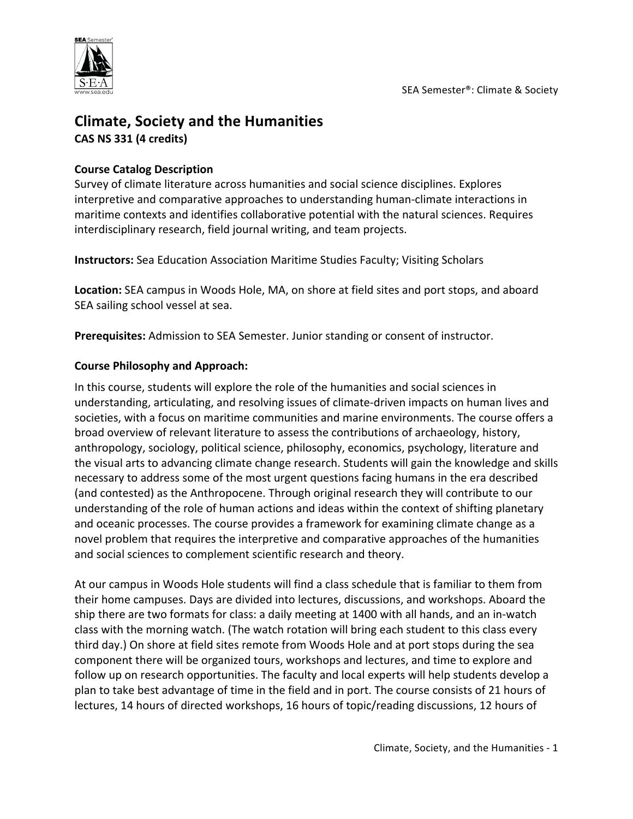

# **Climate, Society and the Humanities CAS NS 331 (4 credits)**

## **Course Catalog Description**

Survey of climate literature across humanities and social science disciplines. Explores interpretive and comparative approaches to understanding human-climate interactions in maritime contexts and identifies collaborative potential with the natural sciences. Requires interdisciplinary research, field journal writing, and team projects.

**Instructors:** Sea Education Association Maritime Studies Faculty; Visiting Scholars

**Location:** SEA campus in Woods Hole, MA, on shore at field sites and port stops, and aboard SEA sailing school vessel at sea.

**Prerequisites:** Admission to SEA Semester. Junior standing or consent of instructor.

## **Course Philosophy and Approach:**

In this course, students will explore the role of the humanities and social sciences in understanding, articulating, and resolving issues of climate-driven impacts on human lives and societies, with a focus on maritime communities and marine environments. The course offers a broad overview of relevant literature to assess the contributions of archaeology, history, anthropology, sociology, political science, philosophy, economics, psychology, literature and the visual arts to advancing climate change research. Students will gain the knowledge and skills necessary to address some of the most urgent questions facing humans in the era described (and contested) as the Anthropocene. Through original research they will contribute to our understanding of the role of human actions and ideas within the context of shifting planetary and oceanic processes. The course provides a framework for examining climate change as a novel problem that requires the interpretive and comparative approaches of the humanities and social sciences to complement scientific research and theory.

At our campus in Woods Hole students will find a class schedule that is familiar to them from their home campuses. Days are divided into lectures, discussions, and workshops. Aboard the ship there are two formats for class: a daily meeting at 1400 with all hands, and an in-watch class with the morning watch. (The watch rotation will bring each student to this class every third day.) On shore at field sites remote from Woods Hole and at port stops during the sea component there will be organized tours, workshops and lectures, and time to explore and follow up on research opportunities. The faculty and local experts will help students develop a plan to take best advantage of time in the field and in port. The course consists of 21 hours of lectures, 14 hours of directed workshops, 16 hours of topic/reading discussions, 12 hours of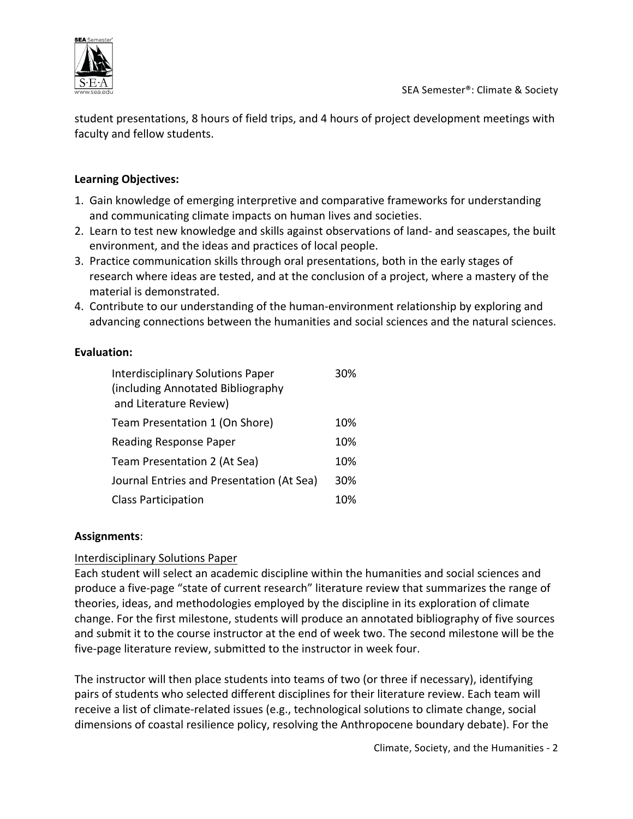

student presentations, 8 hours of field trips, and 4 hours of project development meetings with faculty and fellow students.

#### **Learning Objectives:**

- 1. Gain knowledge of emerging interpretive and comparative frameworks for understanding and communicating climate impacts on human lives and societies.
- 2. Learn to test new knowledge and skills against observations of land- and seascapes, the built environment, and the ideas and practices of local people.
- 3. Practice communication skills through oral presentations, both in the early stages of research where ideas are tested, and at the conclusion of a project, where a mastery of the material is demonstrated.
- 4. Contribute to our understanding of the human-environment relationship by exploring and advancing connections between the humanities and social sciences and the natural sciences.

## **Evaluation:**

| <b>Interdisciplinary Solutions Paper</b><br>(including Annotated Bibliography<br>and Literature Review) | 30% |
|---------------------------------------------------------------------------------------------------------|-----|
| Team Presentation 1 (On Shore)                                                                          | 10% |
| <b>Reading Response Paper</b>                                                                           | 10% |
| Team Presentation 2 (At Sea)                                                                            | 10% |
| Journal Entries and Presentation (At Sea)                                                               | 30% |
| <b>Class Participation</b>                                                                              | 10% |

#### **Assignments**:

#### Interdisciplinary Solutions Paper

Each student will select an academic discipline within the humanities and social sciences and produce a five-page "state of current research" literature review that summarizes the range of theories, ideas, and methodologies employed by the discipline in its exploration of climate change. For the first milestone, students will produce an annotated bibliography of five sources and submit it to the course instructor at the end of week two. The second milestone will be the five-page literature review, submitted to the instructor in week four.

The instructor will then place students into teams of two (or three if necessary), identifying pairs of students who selected different disciplines for their literature review. Each team will receive a list of climate-related issues (e.g., technological solutions to climate change, social dimensions of coastal resilience policy, resolving the Anthropocene boundary debate). For the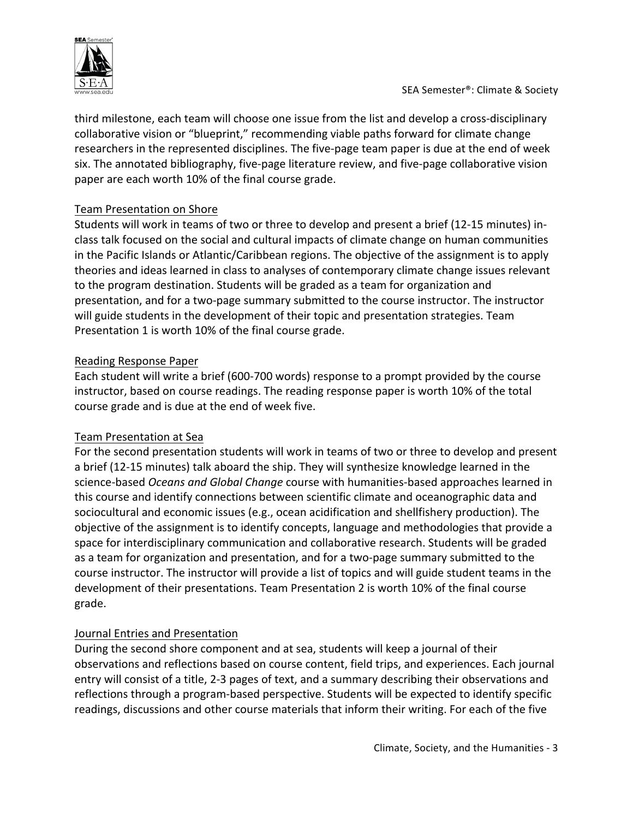

third milestone, each team will choose one issue from the list and develop a cross-disciplinary collaborative vision or "blueprint," recommending viable paths forward for climate change researchers in the represented disciplines. The five-page team paper is due at the end of week six. The annotated bibliography, five-page literature review, and five-page collaborative vision paper are each worth 10% of the final course grade.

## Team Presentation on Shore

Students will work in teams of two or three to develop and present a brief (12-15 minutes) inclass talk focused on the social and cultural impacts of climate change on human communities in the Pacific Islands or Atlantic/Caribbean regions. The objective of the assignment is to apply theories and ideas learned in class to analyses of contemporary climate change issues relevant to the program destination. Students will be graded as a team for organization and presentation, and for a two-page summary submitted to the course instructor. The instructor will guide students in the development of their topic and presentation strategies. Team Presentation 1 is worth 10% of the final course grade.

## Reading Response Paper

Each student will write a brief (600-700 words) response to a prompt provided by the course instructor, based on course readings. The reading response paper is worth 10% of the total course grade and is due at the end of week five.

#### Team Presentation at Sea

For the second presentation students will work in teams of two or three to develop and present a brief (12-15 minutes) talk aboard the ship. They will synthesize knowledge learned in the science-based *Oceans and Global Change* course with humanities-based approaches learned in this course and identify connections between scientific climate and oceanographic data and sociocultural and economic issues (e.g., ocean acidification and shellfishery production). The objective of the assignment is to identify concepts, language and methodologies that provide a space for interdisciplinary communication and collaborative research. Students will be graded as a team for organization and presentation, and for a two-page summary submitted to the course instructor. The instructor will provide a list of topics and will guide student teams in the development of their presentations. Team Presentation 2 is worth 10% of the final course grade.

## Journal Entries and Presentation

During the second shore component and at sea, students will keep a journal of their observations and reflections based on course content, field trips, and experiences. Each journal entry will consist of a title, 2-3 pages of text, and a summary describing their observations and reflections through a program-based perspective. Students will be expected to identify specific readings, discussions and other course materials that inform their writing. For each of the five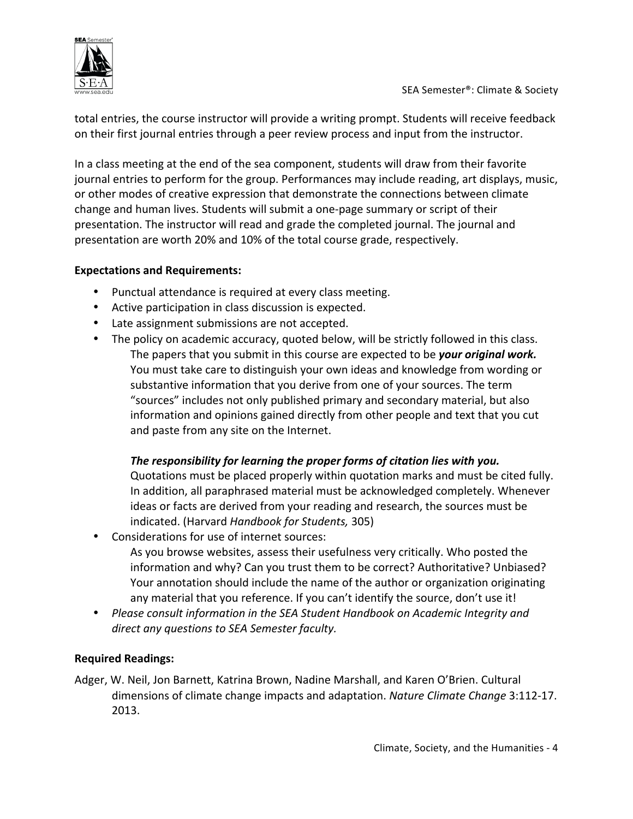

total entries, the course instructor will provide a writing prompt. Students will receive feedback on their first journal entries through a peer review process and input from the instructor.

In a class meeting at the end of the sea component, students will draw from their favorite journal entries to perform for the group. Performances may include reading, art displays, music, or other modes of creative expression that demonstrate the connections between climate change and human lives. Students will submit a one-page summary or script of their presentation. The instructor will read and grade the completed journal. The journal and presentation are worth 20% and 10% of the total course grade, respectively.

## **Expectations and Requirements:**

- Punctual attendance is required at every class meeting.
- Active participation in class discussion is expected.
- Late assignment submissions are not accepted.
- The policy on academic accuracy, quoted below, will be strictly followed in this class. The papers that you submit in this course are expected to be *your original work.* You must take care to distinguish your own ideas and knowledge from wording or substantive information that you derive from one of your sources. The term "sources" includes not only published primary and secondary material, but also information and opinions gained directly from other people and text that you cut and paste from any site on the Internet.

## The responsibility for learning the proper forms of citation lies with you.

Quotations must be placed properly within quotation marks and must be cited fully. In addition, all paraphrased material must be acknowledged completely. Whenever ideas or facts are derived from your reading and research, the sources must be indicated. (Harvard *Handbook for Students*, 305)

- Considerations for use of internet sources:
	- As you browse websites, assess their usefulness very critically. Who posted the information and why? Can you trust them to be correct? Authoritative? Unbiased? Your annotation should include the name of the author or organization originating any material that you reference. If you can't identify the source, don't use it!
- Please consult information in the SEA Student Handbook on Academic Integrity and direct any questions to SEA Semester faculty.

# **Required Readings:**

Adger, W. Neil, Jon Barnett, Katrina Brown, Nadine Marshall, and Karen O'Brien. Cultural dimensions of climate change impacts and adaptation. *Nature Climate Change* 3:112-17. 2013.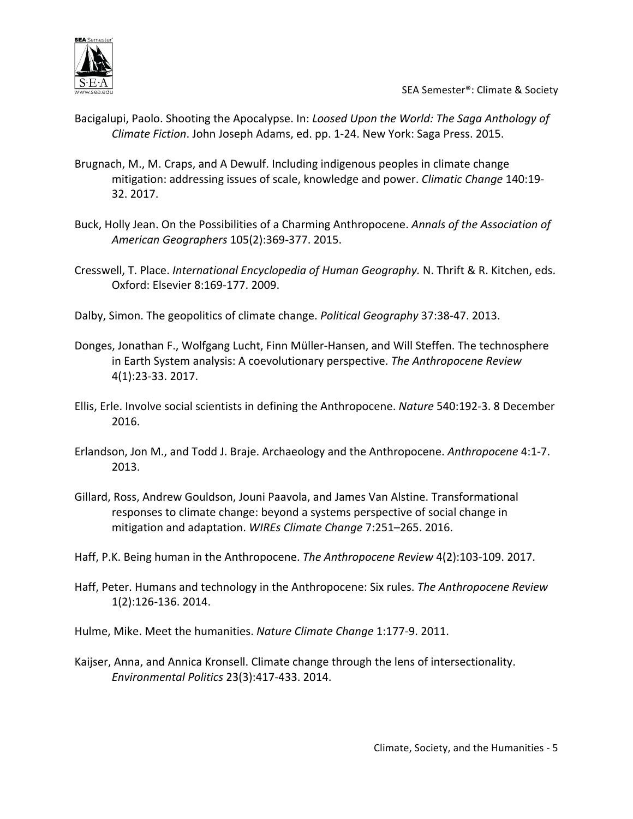

- Bacigalupi, Paolo. Shooting the Apocalypse. In: *Loosed Upon the World: The Saga Anthology of Climate Fiction*. John Joseph Adams, ed. pp. 1-24. New York: Saga Press. 2015.
- Brugnach, M., M. Craps, and A Dewulf. Including indigenous peoples in climate change mitigation: addressing issues of scale, knowledge and power. *Climatic Change* 140:19-32. 2017.
- Buck, Holly Jean. On the Possibilities of a Charming Anthropocene. Annals of the Association of *American Geographers* 105(2):369-377. 2015.
- Cresswell, T. Place. *International Encyclopedia of Human Geography*. N. Thrift & R. Kitchen, eds. Oxford: Elsevier 8:169-177. 2009.
- Dalby, Simon. The geopolitics of climate change. *Political Geography* 37:38-47. 2013.
- Donges, Jonathan F., Wolfgang Lucht, Finn Müller-Hansen, and Will Steffen. The technosphere in Earth System analysis: A coevolutionary perspective. The Anthropocene Review 4(1):23-33. 2017.
- Ellis, Erle. Involve social scientists in defining the Anthropocene. *Nature* 540:192-3. 8 December 2016.
- Erlandson, Jon M., and Todd J. Braje. Archaeology and the Anthropocene. Anthropocene 4:1-7. 2013.
- Gillard, Ross, Andrew Gouldson, Jouni Paavola, and James Van Alstine. Transformational responses to climate change: beyond a systems perspective of social change in mitigation and adaptation. WIREs Climate Change 7:251–265. 2016.
- Haff, P.K. Being human in the Anthropocene. The Anthropocene Review 4(2):103-109. 2017.
- Haff, Peter. Humans and technology in the Anthropocene: Six rules. *The Anthropocene Review* 1(2):126-136. 2014.

Hulme, Mike. Meet the humanities. Nature Climate Change 1:177-9. 2011.

Kaijser, Anna, and Annica Kronsell. Climate change through the lens of intersectionality. *Environmental Politics* 23(3):417-433. 2014.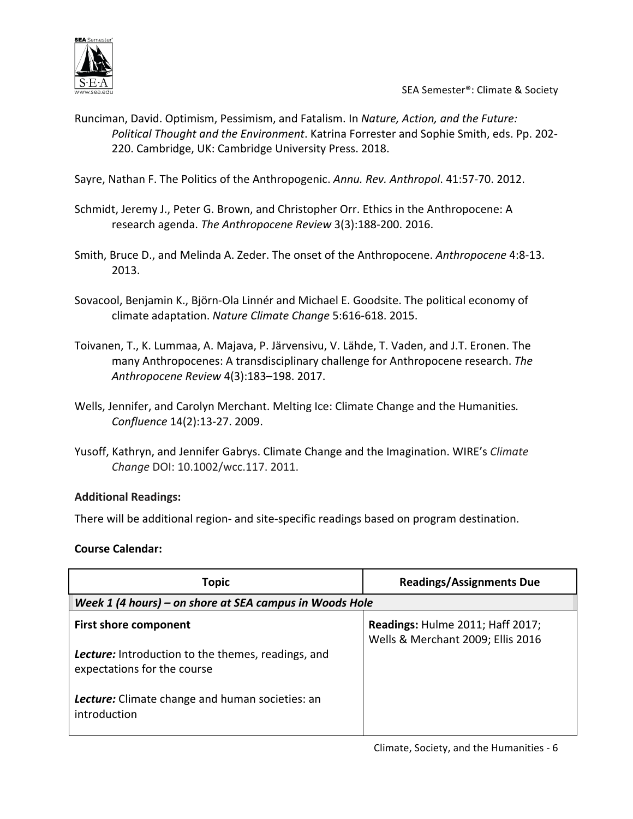

- Runciman, David. Optimism, Pessimism, and Fatalism. In *Nature, Action, and the Future:* Political Thought and the Environment. Katrina Forrester and Sophie Smith, eds. Pp. 202-220. Cambridge, UK: Cambridge University Press. 2018.
- Sayre, Nathan F. The Politics of the Anthropogenic. Annu. Rev. Anthropol. 41:57-70. 2012.
- Schmidt, Jeremy J., Peter G. Brown, and Christopher Orr. Ethics in the Anthropocene: A research agenda. The Anthropocene Review 3(3):188-200. 2016.
- Smith, Bruce D., and Melinda A. Zeder. The onset of the Anthropocene. Anthropocene 4:8-13. 2013.
- Sovacool, Benjamin K., Björn-Ola Linnér and Michael E. Goodsite. The political economy of climate adaptation. *Nature Climate Change* 5:616-618. 2015.
- Toivanen, T., K. Lummaa, A. Majava, P. Järvensivu, V. Lähde, T. Vaden, and J.T. Eronen. The many Anthropocenes: A transdisciplinary challenge for Anthropocene research. The *Anthropocene Review* 4(3):183–198. 2017.
- Wells, Jennifer, and Carolyn Merchant. Melting Ice: Climate Change and the Humanities. *Confluence* 14(2):13-27. 2009.
- Yusoff, Kathryn, and Jennifer Gabrys. Climate Change and the Imagination. WIRE's *Climate Change* DOI: 10.1002/wcc.117. 2011.

#### **Additional Readings:**

There will be additional region- and site-specific readings based on program destination.

#### **Course Calendar:**

| <b>Topic</b>                                                                             | <b>Readings/Assignments Due</b>                                       |  |
|------------------------------------------------------------------------------------------|-----------------------------------------------------------------------|--|
| Week 1 (4 hours) – on shore at SEA campus in Woods Hole                                  |                                                                       |  |
| <b>First shore component</b>                                                             | Readings: Hulme 2011; Haff 2017;<br>Wells & Merchant 2009; Ellis 2016 |  |
| <b>Lecture:</b> Introduction to the themes, readings, and<br>expectations for the course |                                                                       |  |
| <b>Lecture:</b> Climate change and human societies: an<br>introduction                   |                                                                       |  |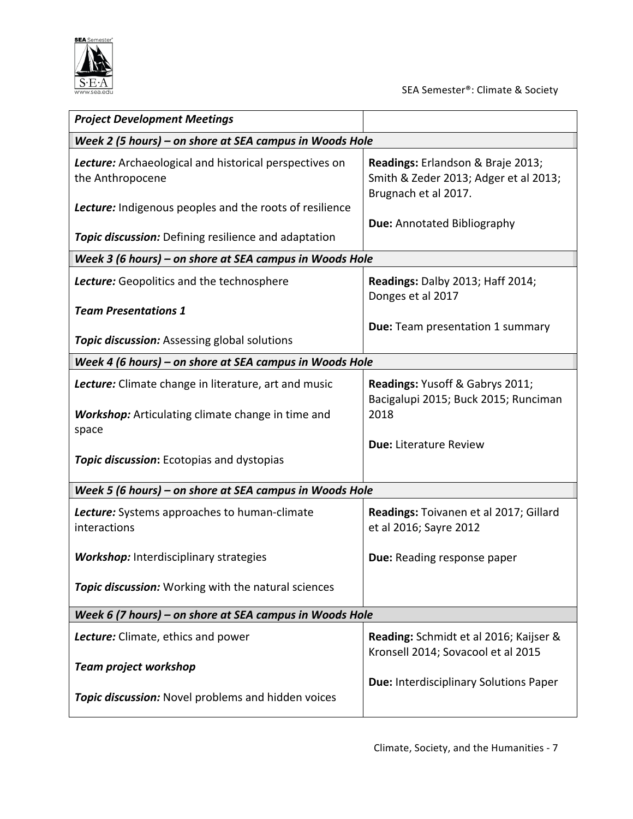

| <b>Project Development Meetings</b>                                        |                                                                                                    |  |  |
|----------------------------------------------------------------------------|----------------------------------------------------------------------------------------------------|--|--|
| Week 2 (5 hours) – on shore at SEA campus in Woods Hole                    |                                                                                                    |  |  |
| Lecture: Archaeological and historical perspectives on<br>the Anthropocene | Readings: Erlandson & Braje 2013;<br>Smith & Zeder 2013; Adger et al 2013;<br>Brugnach et al 2017. |  |  |
| <b>Lecture:</b> Indigenous peoples and the roots of resilience             | <b>Due: Annotated Bibliography</b>                                                                 |  |  |
| <b>Topic discussion:</b> Defining resilience and adaptation                |                                                                                                    |  |  |
| Week 3 (6 hours) - on shore at SEA campus in Woods Hole                    |                                                                                                    |  |  |
| Lecture: Geopolitics and the technosphere                                  | Readings: Dalby 2013; Haff 2014;<br>Donges et al 2017                                              |  |  |
| <b>Team Presentations 1</b>                                                |                                                                                                    |  |  |
| <b>Topic discussion:</b> Assessing global solutions                        | <b>Due:</b> Team presentation 1 summary                                                            |  |  |
| Week 4 (6 hours) – on shore at SEA campus in Woods Hole                    |                                                                                                    |  |  |
| <b>Lecture:</b> Climate change in literature, art and music                | Readings: Yusoff & Gabrys 2011;<br>Bacigalupi 2015; Buck 2015; Runciman                            |  |  |
| <b>Workshop:</b> Articulating climate change in time and<br>space          | 2018                                                                                               |  |  |
| <b>Topic discussion:</b> Ecotopias and dystopias                           | <b>Due: Literature Review</b>                                                                      |  |  |
| Week 5 (6 hours) - on shore at SEA campus in Woods Hole                    |                                                                                                    |  |  |
| <b>Lecture:</b> Systems approaches to human-climate<br>interactions        | Readings: Toivanen et al 2017; Gillard<br>et al 2016; Sayre 2012                                   |  |  |
| <b>Workshop:</b> Interdisciplinary strategies                              | Due: Reading response paper                                                                        |  |  |
| Topic discussion: Working with the natural sciences                        |                                                                                                    |  |  |
| Week 6 (7 hours) – on shore at SEA campus in Woods Hole                    |                                                                                                    |  |  |
| <b>Lecture:</b> Climate, ethics and power                                  | Reading: Schmidt et al 2016; Kaijser &<br>Kronsell 2014; Sovacool et al 2015                       |  |  |
| <b>Team project workshop</b>                                               |                                                                                                    |  |  |
| Topic discussion: Novel problems and hidden voices                         | <b>Due: Interdisciplinary Solutions Paper</b>                                                      |  |  |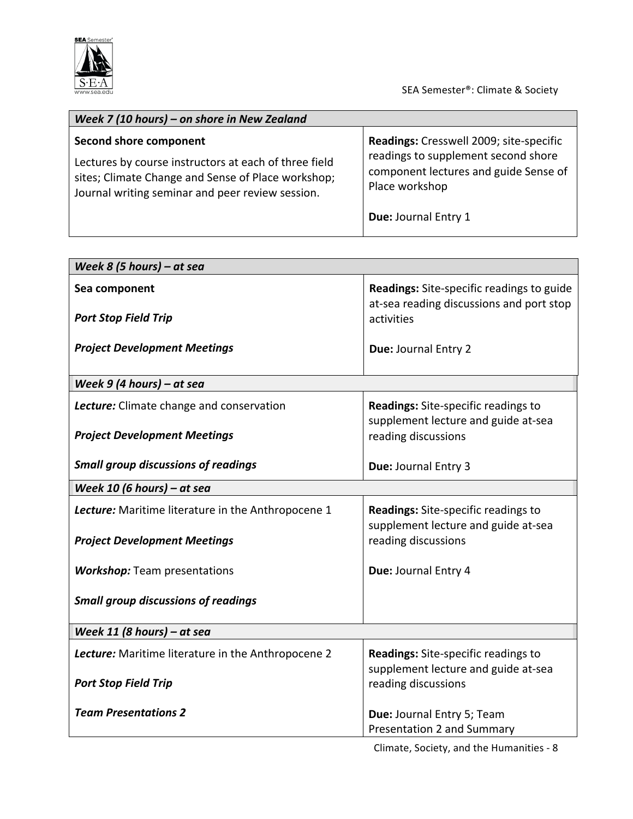

| Week 7 (10 hours) – on shore in New Zealand                                                                                                                                               |                                                                                                                                           |  |
|-------------------------------------------------------------------------------------------------------------------------------------------------------------------------------------------|-------------------------------------------------------------------------------------------------------------------------------------------|--|
| Second shore component<br>Lectures by course instructors at each of three field<br>sites; Climate Change and Sense of Place workshop;<br>Journal writing seminar and peer review session. | Readings: Cresswell 2009; site-specific<br>readings to supplement second shore<br>component lectures and guide Sense of<br>Place workshop |  |
|                                                                                                                                                                                           | Due: Journal Entry 1                                                                                                                      |  |

| Week 8 (5 hours) – at sea                          |                                                                                       |  |
|----------------------------------------------------|---------------------------------------------------------------------------------------|--|
| Sea component                                      | Readings: Site-specific readings to guide<br>at-sea reading discussions and port stop |  |
| <b>Port Stop Field Trip</b>                        | activities                                                                            |  |
| <b>Project Development Meetings</b>                | Due: Journal Entry 2                                                                  |  |
| Week $9$ (4 hours) – at sea                        |                                                                                       |  |
| Lecture: Climate change and conservation           | <b>Readings:</b> Site-specific readings to<br>supplement lecture and guide at-sea     |  |
| <b>Project Development Meetings</b>                | reading discussions                                                                   |  |
| <b>Small group discussions of readings</b>         | Due: Journal Entry 3                                                                  |  |
| Week 10 (6 hours) – at sea                         |                                                                                       |  |
| Lecture: Maritime literature in the Anthropocene 1 | <b>Readings:</b> Site-specific readings to<br>supplement lecture and guide at-sea     |  |
| <b>Project Development Meetings</b>                | reading discussions                                                                   |  |
| <b>Workshop:</b> Team presentations                | Due: Journal Entry 4                                                                  |  |
| <b>Small group discussions of readings</b>         |                                                                                       |  |
| Week 11 (8 hours) - at sea                         |                                                                                       |  |
| Lecture: Maritime literature in the Anthropocene 2 | <b>Readings:</b> Site-specific readings to<br>supplement lecture and guide at-sea     |  |
| <b>Port Stop Field Trip</b>                        | reading discussions                                                                   |  |
| <b>Team Presentations 2</b>                        | Due: Journal Entry 5; Team<br>Presentation 2 and Summary                              |  |

Climate, Society, and the Humanities - 8